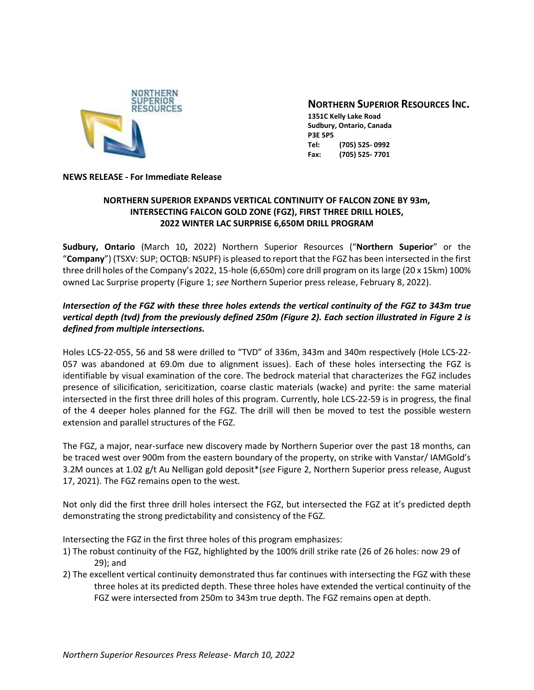

# **NORTHERN SUPERIOR RESOURCES INC.**

**1351C Kelly Lake Road Sudbury, Ontario, Canada P3E 5P5 Tel: (705) 525- 0992 Fax: (705) 525- 7701**

#### **NEWS RELEASE - For Immediate Release**

# **NORTHERN SUPERIOR EXPANDS VERTICAL CONTINUITY OF FALCON ZONE BY 93m, INTERSECTING FALCON GOLD ZONE (FGZ), FIRST THREE DRILL HOLES, 2022 WINTER LAC SURPRISE 6,650M DRILL PROGRAM**

**Sudbury, Ontario** (March 10**,** 2022) Northern Superior Resources ("**Northern Superior**" or the "**Company**") (TSXV: SUP; OCTQB: NSUPF) is pleased to report that the FGZ has been intersected in the first three drill holes of the Company's 2022, 15-hole (6,650m) core drill program on its large (20 x 15km) 100% owned Lac Surprise property (Figure 1; *see* Northern Superior press release, February 8, 2022).

# *Intersection of the FGZ with these three holes extends the vertical continuity of the FGZ to 343m true vertical depth (tvd) from the previously defined 250m (Figure 2). Each section illustrated in Figure 2 is defined from multiple intersections.*

Holes LCS-22-055, 56 and 58 were drilled to "TVD" of 336m, 343m and 340m respectively (Hole LCS-22- 057 was abandoned at 69.0m due to alignment issues). Each of these holes intersecting the FGZ is identifiable by visual examination of the core. The bedrock material that characterizes the FGZ includes presence of silicification, sericitization, coarse clastic materials (wacke) and pyrite: the same material intersected in the first three drill holes of this program. Currently, hole LCS-22-59 is in progress, the final of the 4 deeper holes planned for the FGZ. The drill will then be moved to test the possible western extension and parallel structures of the FGZ.

The FGZ, a major, near-surface new discovery made by Northern Superior over the past 18 months, can be traced west over 900m from the eastern boundary of the property, on strike with Vanstar/ IAMGold's 3.2M ounces at 1.02 g/t Au Nelligan gold deposit\*(*see* Figure 2, Northern Superior press release, August 17, 2021). The FGZ remains open to the west.

Not only did the first three drill holes intersect the FGZ, but intersected the FGZ at it's predicted depth demonstrating the strong predictability and consistency of the FGZ.

Intersecting the FGZ in the first three holes of this program emphasizes:

- 1) The robust continuity of the FGZ, highlighted by the 100% drill strike rate (26 of 26 holes: now 29 of 29); and
- 2) The excellent vertical continuity demonstrated thus far continues with intersecting the FGZ with these three holes at its predicted depth. These three holes have extended the vertical continuity of the FGZ were intersected from 250m to 343m true depth. The FGZ remains open at depth.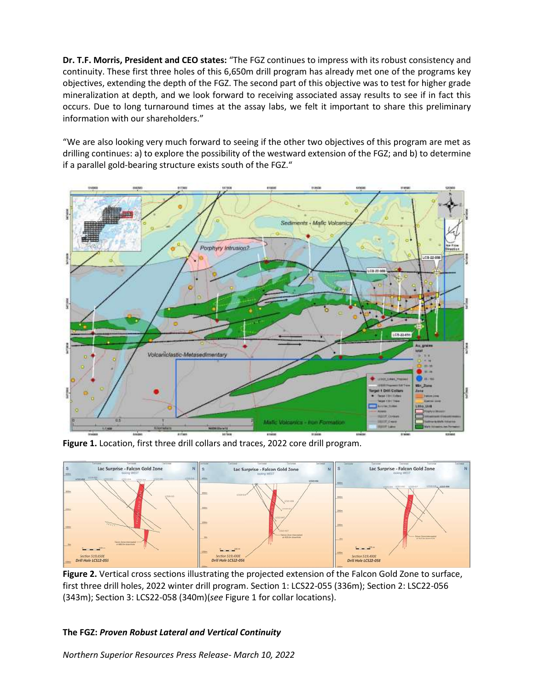**Dr. T.F. Morris, President and CEO states:** "The FGZ continues to impress with its robust consistency and continuity. These first three holes of this 6,650m drill program has already met one of the programs key objectives, extending the depth of the FGZ. The second part of this objective was to test for higher grade mineralization at depth, and we look forward to receiving associated assay results to see if in fact this occurs. Due to long turnaround times at the assay labs, we felt it important to share this preliminary information with our shareholders."

"We are also looking very much forward to seeing if the other two objectives of this program are met as drilling continues: a) to explore the possibility of the westward extension of the FGZ; and b) to determine if a parallel gold-bearing structure exists south of the FGZ."



**Figure 1.** Location, first three drill collars and traces, 2022 core drill program.



**Figure 2.** Vertical cross sections illustrating the projected extension of the Falcon Gold Zone to surface, first three drill holes, 2022 winter drill program. Section 1: LCS22-055 (336m); Section 2: LSC22-056 (343m); Section 3: LCS22-058 (340m)(*see* Figure 1 for collar locations).

# **The FGZ:** *Proven Robust Lateral and Vertical Continuity*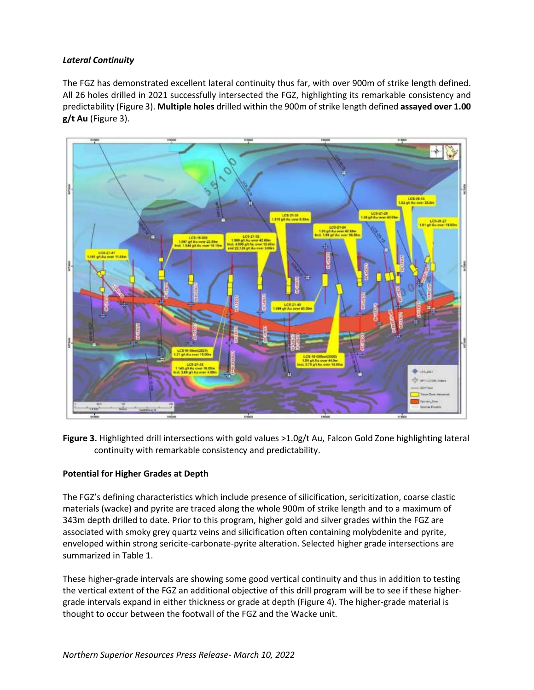# *Lateral Continuity*

The FGZ has demonstrated excellent lateral continuity thus far, with over 900m of strike length defined. All 26 holes drilled in 2021 successfully intersected the FGZ, highlighting its remarkable consistency and predictability (Figure 3). **Multiple holes** drilled within the 900m of strike length defined **assayed over 1.00 g/t Au** (Figure 3).



**Figure 3.** Highlighted drill intersections with gold values >1.0g/t Au, Falcon Gold Zone highlighting lateral continuity with remarkable consistency and predictability.

# **Potential for Higher Grades at Depth**

The FGZ's defining characteristics which include presence of silicification, sericitization, coarse clastic materials (wacke) and pyrite are traced along the whole 900m of strike length and to a maximum of 343m depth drilled to date. Prior to this program, higher gold and silver grades within the FGZ are associated with smoky grey quartz veins and silicification often containing molybdenite and pyrite, enveloped within strong sericite-carbonate-pyrite alteration. Selected higher grade intersections are summarized in Table 1.

These higher-grade intervals are showing some good vertical continuity and thus in addition to testing the vertical extent of the FGZ an additional objective of this drill program will be to see if these highergrade intervals expand in either thickness or grade at depth (Figure 4). The higher-grade material is thought to occur between the footwall of the FGZ and the Wacke unit.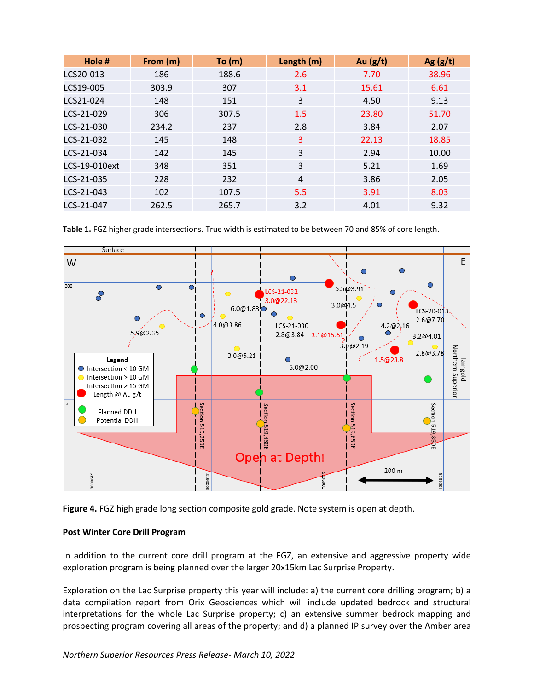| Hole #        | From (m) | To (m) | Length (m) | Au $(g/t)$ | Ag $(g/t)$ |
|---------------|----------|--------|------------|------------|------------|
| LCS20-013     | 186      | 188.6  | 2.6        | 7.70       | 38.96      |
| LCS19-005     | 303.9    | 307    | 3.1        | 15.61      | 6.61       |
| LCS21-024     | 148      | 151    | 3          | 4.50       | 9.13       |
| LCS-21-029    | 306      | 307.5  | 1.5        | 23.80      | 51.70      |
| LCS-21-030    | 234.2    | 237    | 2.8        | 3.84       | 2.07       |
| LCS-21-032    | 145      | 148    | 3          | 22.13      | 18.85      |
| LCS-21-034    | 142      | 145    | 3          | 2.94       | 10.00      |
| LCS-19-010ext | 348      | 351    | 3          | 5.21       | 1.69       |
| LCS-21-035    | 228      | 232    | 4          | 3.86       | 2.05       |
| LCS-21-043    | 102      | 107.5  | 5.5        | 3.91       | 8.03       |
| LCS-21-047    | 262.5    | 265.7  | 3.2        | 4.01       | 9.32       |

**Table 1.** FGZ higher grade intersections. True width is estimated to be between 70 and 85% of core length.





#### **Post Winter Core Drill Program**

In addition to the current core drill program at the FGZ, an extensive and aggressive property wide exploration program is being planned over the larger 20x15km Lac Surprise Property.

Exploration on the Lac Surprise property this year will include: a) the current core drilling program; b) a data compilation report from Orix Geosciences which will include updated bedrock and structural interpretations for the whole Lac Surprise property; c) an extensive summer bedrock mapping and prospecting program covering all areas of the property; and d) a planned IP survey over the Amber area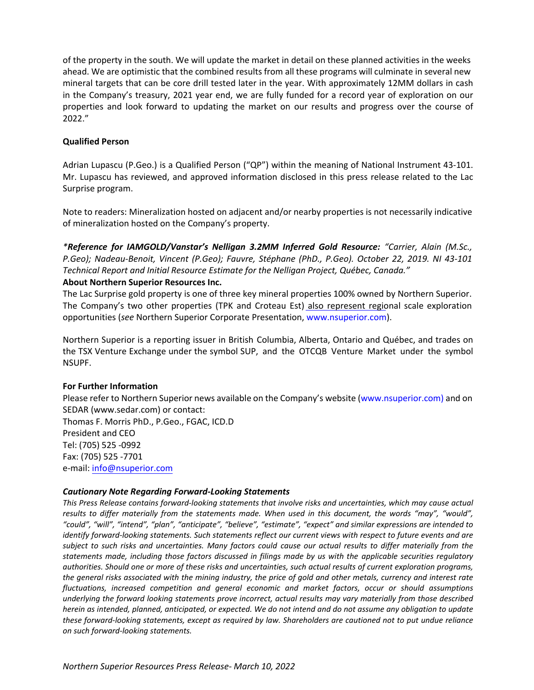of the property in the south. We will update the market in detail on these planned activities in the weeks ahead. We are optimistic that the combined results from all these programs will culminate in several new mineral targets that can be core drill tested later in the year. With approximately 12MM dollars in cash in the Company's treasury, 2021 year end, we are fully funded for a record year of exploration on our properties and look forward to updating the market on our results and progress over the course of 2022."

#### **Qualified Person**

Adrian Lupascu (P.Geo.) is a Qualified Person ("QP") within the meaning of National Instrument 43-101. Mr. Lupascu has reviewed, and approved information disclosed in this press release related to the Lac Surprise program.

Note to readers: Mineralization hosted on adjacent and/or nearby properties is not necessarily indicative of mineralization hosted on the Company's property.

*\*Reference for IAMGOLD/Vanstar's Nelligan 3.2MM Inferred Gold Resource: "Carrier, Alain (M.Sc., P.Geo); Nadeau-Benoit, Vincent (P.Geo); Fauvre, Stéphane (PhD., P.Geo). October 22, 2019. NI 43-101 Technical Report and Initial Resource Estimate for the Nelligan Project, Québec, Canada."*

#### **About Northern Superior Resources Inc.**

The Lac Surprise gold property is one of three key mineral properties 100% owned by Northern Superior. The Company's two other properties (TPK and Croteau Est) also represent regional scale exploration opportunities (*see* Northern Superior Corporate Presentation[, www.nsuperior.com\).](http://www.nsuperior.com/)

Northern Superior is a reporting issuer in British Columbia, Alberta, Ontario and Québec, and trades on the TSX Venture Exchange under the symbol SUP, and the OTCQB Venture Market under the symbol NSUPF.

#### **For Further Information**

Please refer to Northern Superior news available on the Company's website (www.nsuperior.com) and on SEDAR (www.sedar.com) or contact: Thomas F. Morris PhD., P.Geo., FGAC, ICD.D President and CEO Tel: (705) 525 ‐0992 Fax: (7[05\) 525 ‐7701](mailto:info@nsuperior.com) 

e‐mail: info@nsuperior.com

# *Cautionary Note Regarding Forward-Looking Statements*

*This Press Release contains forward-looking statements that involve risks and uncertainties, which may cause actual results to differ materially from the statements made. When used in this document, the words "may", "would", "could", "will", "intend", "plan", "anticipate", "believe", "estimate", "expect" and similar expressions are intended to identify forward-looking statements. Such statements reflect our current views with respect to future events and are subject to such risks and uncertainties. Many factors could cause our actual results to differ materially from the statements made, including those factors discussed in filings made by us with the applicable securities regulatory authorities. Should one or more of these risks and uncertainties, such actual results of current exploration programs, the general risks associated with the mining industry, the price of gold and other metals, currency and interest rate fluctuations, increased competition and general economic and market factors, occur or should assumptions underlying the forward looking statements prove incorrect, actual results may vary materially from those described herein as intended, planned, anticipated, or expected. We do not intend and do not assume any obligation to update these forward-looking statements, except as required by law. Shareholders are cautioned not to put undue reliance on such forward-looking statements.*